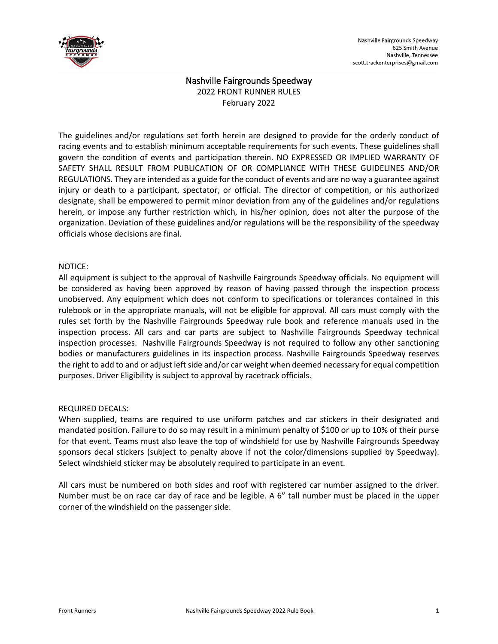

# Nashville Fairgrounds Speedway

2022 FRONT RUNNER RULES February 2022

The guidelines and/or regulations set forth herein are designed to provide for the orderly conduct of racing events and to establish minimum acceptable requirements for such events. These guidelines shall govern the condition of events and participation therein. NO EXPRESSED OR IMPLIED WARRANTY OF SAFETY SHALL RESULT FROM PUBLICATION OF OR COMPLIANCE WITH THESE GUIDELINES AND/OR REGULATIONS. They are intended as a guide for the conduct of events and are no way a guarantee against injury or death to a participant, spectator, or official. The director of competition, or his authorized designate, shall be empowered to permit minor deviation from any of the guidelines and/or regulations herein, or impose any further restriction which, in his/her opinion, does not alter the purpose of the organization. Deviation of these guidelines and/or regulations will be the responsibility of the speedway officials whose decisions are final.

## NOTICE:

All equipment is subject to the approval of Nashville Fairgrounds Speedway officials. No equipment will be considered as having been approved by reason of having passed through the inspection process unobserved. Any equipment which does not conform to specifications or tolerances contained in this rulebook or in the appropriate manuals, will not be eligible for approval. All cars must comply with the rules set forth by the Nashville Fairgrounds Speedway rule book and reference manuals used in the inspection process. All cars and car parts are subject to Nashville Fairgrounds Speedway technical inspection processes. Nashville Fairgrounds Speedway is not required to follow any other sanctioning bodies or manufacturers guidelines in its inspection process. Nashville Fairgrounds Speedway reserves the right to add to and or adjust left side and/or car weight when deemed necessary for equal competition purposes. Driver Eligibility is subject to approval by racetrack officials.

#### REQUIRED DECALS:

When supplied, teams are required to use uniform patches and car stickers in their designated and mandated position. Failure to do so may result in a minimum penalty of \$100 or up to 10% of their purse for that event. Teams must also leave the top of windshield for use by Nashville Fairgrounds Speedway sponsors decal stickers (subject to penalty above if not the color/dimensions supplied by Speedway). Select windshield sticker may be absolutely required to participate in an event.

All cars must be numbered on both sides and roof with registered car number assigned to the driver. Number must be on race car day of race and be legible. A 6" tall number must be placed in the upper corner of the windshield on the passenger side.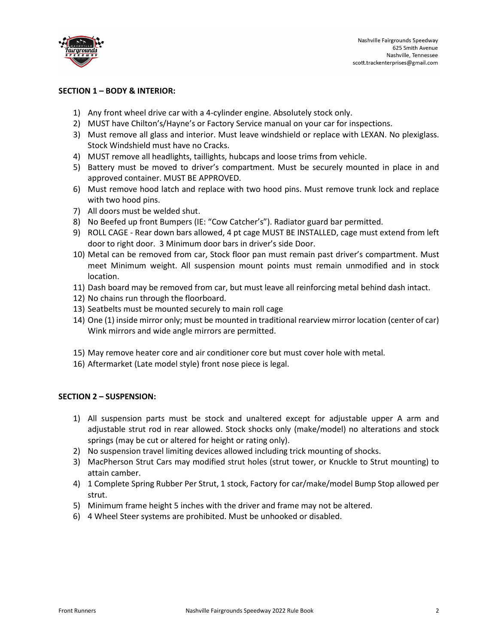

## **SECTION 1 – BODY & INTERIOR:**

- 1) Any front wheel drive car with a 4-cylinder engine. Absolutely stock only.
- 2) MUST have Chilton's/Hayne's or Factory Service manual on your car for inspections.
- 3) Must remove all glass and interior. Must leave windshield or replace with LEXAN. No plexiglass. Stock Windshield must have no Cracks.
- 4) MUST remove all headlights, taillights, hubcaps and loose trims from vehicle.
- 5) Battery must be moved to driver's compartment. Must be securely mounted in place in and approved container. MUST BE APPROVED.
- 6) Must remove hood latch and replace with two hood pins. Must remove trunk lock and replace with two hood pins.
- 7) All doors must be welded shut.
- 8) No Beefed up front Bumpers (IE: "Cow Catcher's"). Radiator guard bar permitted.
- 9) ROLL CAGE Rear down bars allowed, 4 pt cage MUST BE INSTALLED, cage must extend from left door to right door. 3 Minimum door bars in driver's side Door.
- 10) Metal can be removed from car, Stock floor pan must remain past driver's compartment. Must meet Minimum weight. All suspension mount points must remain unmodified and in stock location.
- 11) Dash board may be removed from car, but must leave all reinforcing metal behind dash intact.
- 12) No chains run through the floorboard.
- 13) Seatbelts must be mounted securely to main roll cage
- 14) One (1) inside mirror only; must be mounted in traditional rearview mirror location (center of car) Wink mirrors and wide angle mirrors are permitted.
- 15) May remove heater core and air conditioner core but must cover hole with metal.
- 16) Aftermarket (Late model style) front nose piece is legal.

#### **SECTION 2 – SUSPENSION:**

- 1) All suspension parts must be stock and unaltered except for adjustable upper A arm and adjustable strut rod in rear allowed. Stock shocks only (make/model) no alterations and stock springs (may be cut or altered for height or rating only).
- 2) No suspension travel limiting devices allowed including trick mounting of shocks.
- 3) MacPherson Strut Cars may modified strut holes (strut tower, or Knuckle to Strut mounting) to attain camber.
- 4) 1 Complete Spring Rubber Per Strut, 1 stock, Factory for car/make/model Bump Stop allowed per strut.
- 5) Minimum frame height 5 inches with the driver and frame may not be altered.
- 6) 4 Wheel Steer systems are prohibited. Must be unhooked or disabled.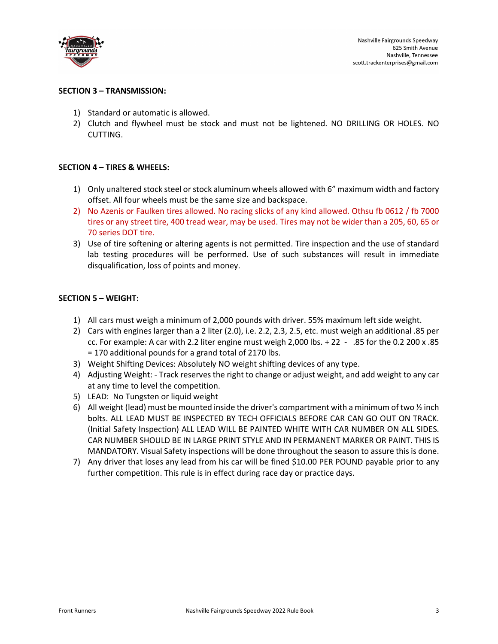

## **SECTION 3 – TRANSMISSION:**

- 1) Standard or automatic is allowed.
- 2) Clutch and flywheel must be stock and must not be lightened. NO DRILLING OR HOLES. NO CUTTING.

## **SECTION 4 – TIRES & WHEELS:**

- 1) Only unaltered stock steel or stock aluminum wheels allowed with 6" maximum width and factory offset. All four wheels must be the same size and backspace.
- 2) No Azenis or Faulken tires allowed. No racing slicks of any kind allowed. Othsu fb 0612 / fb 7000 tires or any street tire, 400 tread wear, may be used. Tires may not be wider than a 205, 60, 65 or 70 series DOT tire.
- 3) Use of tire softening or altering agents is not permitted. Tire inspection and the use of standard lab testing procedures will be performed. Use of such substances will result in immediate disqualification, loss of points and money.

#### **SECTION 5 – WEIGHT:**

- 1) All cars must weigh a minimum of 2,000 pounds with driver. 55% maximum left side weight.
- 2) Cars with engines larger than a 2 liter (2.0), i.e. 2.2, 2.3, 2.5, etc. must weigh an additional .85 per cc. For example: A car with 2.2 liter engine must weigh 2,000 lbs. + 22 - .85 for the 0.2 200 x .85 = 170 additional pounds for a grand total of 2170 lbs.
- 3) Weight Shifting Devices: Absolutely NO weight shifting devices of any type.
- 4) Adjusting Weight: Track reserves the right to change or adjust weight, and add weight to any car at any time to level the competition.
- 5) LEAD: No Tungsten or liquid weight
- 6) All weight (lead) must be mounted inside the driver's compartment with a minimum of two  $\frac{1}{2}$  inch bolts. ALL LEAD MUST BE INSPECTED BY TECH OFFICIALS BEFORE CAR CAN GO OUT ON TRACK. (Initial Safety Inspection) ALL LEAD WILL BE PAINTED WHITE WITH CAR NUMBER ON ALL SIDES. CAR NUMBER SHOULD BE IN LARGE PRINT STYLE AND IN PERMANENT MARKER OR PAINT. THIS IS MANDATORY. Visual Safety inspections will be done throughout the season to assure this is done.
- 7) Any driver that loses any lead from his car will be fined \$10.00 PER POUND payable prior to any further competition. This rule is in effect during race day or practice days.